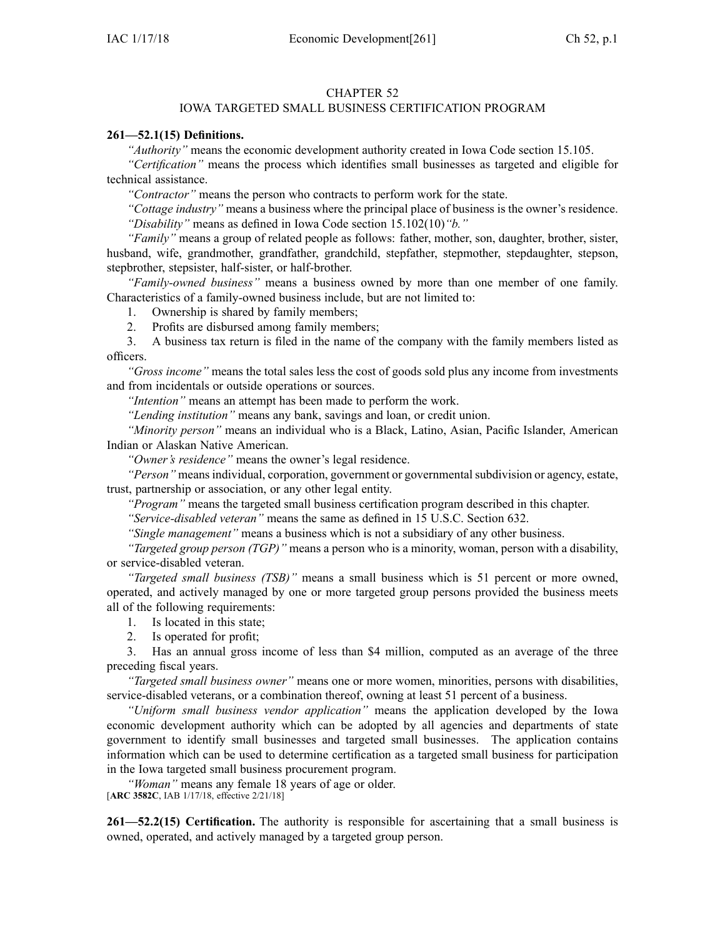## CHAPTER 52

## IOWA TARGETED SMALL BUSINESS CERTIFICATION PROGRAM

## **261—52.1(15) Definitions.**

*"Authority"* means the economic development authority created in Iowa Code section [15.105](https://www.legis.iowa.gov/docs/ico/section/2017/15.105.pdf).

*"Certification"* means the process which identifies small businesses as targeted and eligible for technical assistance.

*"Contractor"* means the person who contracts to perform work for the state.

*"Cottage industry"* means <sup>a</sup> business where the principal place of business is the owner's residence. *"Disability"* means as defined in Iowa Code section [15.102\(10\)](https://www.legis.iowa.gov/docs/ico/section/2017/15.102.pdf)*"b."*

*"Family"* means <sup>a</sup> group of related people as follows: father, mother, son, daughter, brother, sister, husband, wife, grandmother, grandfather, grandchild, stepfather, stepmother, stepdaughter, stepson, stepbrother, stepsister, half-sister, or half-brother.

*"Family-owned business"* means <sup>a</sup> business owned by more than one member of one family. Characteristics of <sup>a</sup> family-owned business include, but are not limited to:

1. Ownership is shared by family members;

2. Profits are disbursed among family members;

3. A business tax return is filed in the name of the company with the family members listed as officers.

*"Gross income"* means the total sales less the cost of goods sold plus any income from investments and from incidentals or outside operations or sources.

*"Intention"* means an attempt has been made to perform the work.

*"Lending institution"* means any bank, savings and loan, or credit union.

*"Minority person"* means an individual who is <sup>a</sup> Black, Latino, Asian, Pacific Islander, American Indian or Alaskan Native American.

*"Owner's residence"* means the owner's legal residence.

*"Person"* means individual, corporation, government or governmental subdivision or agency, estate, trust, partnership or association, or any other legal entity.

*"Program"* means the targeted small business certification program described in this chapter.

*"Service-disabled veteran"* means the same as defined in 15 U.S.C. Section 632.

*"Single management"* means <sup>a</sup> business which is not <sup>a</sup> subsidiary of any other business.

*"Targeted group person (TGP)"* means <sup>a</sup> person who is <sup>a</sup> minority, woman, person with <sup>a</sup> disability, or service-disabled veteran.

*"Targeted small business (TSB)"* means <sup>a</sup> small business which is 51 percen<sup>t</sup> or more owned, operated, and actively managed by one or more targeted group persons provided the business meets all of the following requirements:

- 1. Is located in this state;
- 2. Is operated for profit;

3. Has an annual gross income of less than \$4 million, computed as an average of the three preceding fiscal years.

*"Targeted small business owner"* means one or more women, minorities, persons with disabilities, service-disabled veterans, or <sup>a</sup> combination thereof, owning at least 51 percen<sup>t</sup> of <sup>a</sup> business.

*"Uniform small business vendor application"* means the application developed by the Iowa economic development authority which can be adopted by all agencies and departments of state governmen<sup>t</sup> to identify small businesses and targeted small businesses. The application contains information which can be used to determine certification as <sup>a</sup> targeted small business for participation in the Iowa targeted small business procuremen<sup>t</sup> program.

*"Woman"* means any female 18 years of age or older.

[**ARC [3582C](https://www.legis.iowa.gov/docs/aco/arc/3582C.pdf)**, IAB 1/17/18, effective 2/21/18]

**261—52.2(15) Certification.** The authority is responsible for ascertaining that <sup>a</sup> small business is owned, operated, and actively managed by <sup>a</sup> targeted group person.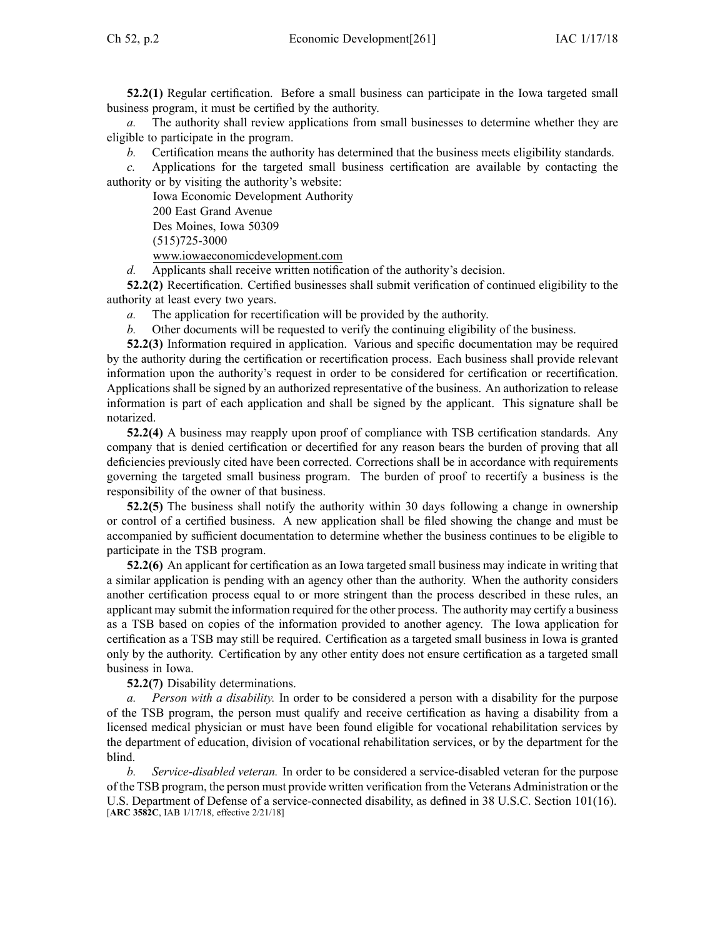**52.2(1)** Regular certification. Before <sup>a</sup> small business can participate in the Iowa targeted small business program, it must be certified by the authority.

*a.* The authority shall review applications from small businesses to determine whether they are eligible to participate in the program.

*b.* Certification means the authority has determined that the business meets eligibility standards.

*c.* Applications for the targeted small business certification are available by contacting the authority or by visiting the authority's website:

Iowa Economic Development Authority

200 East Grand Avenue

Des Moines, Iowa 50309

(515)725-3000

[www.iowaeconomicdevelopment.com](http://www.iowaeconomicdevelopment.com)

*d.* Applicants shall receive written notification of the authority's decision.

**52.2(2)** Recertification. Certified businesses shall submit verification of continued eligibility to the authority at least every two years.

*a.* The application for recertification will be provided by the authority.

*b.* Other documents will be requested to verify the continuing eligibility of the business.

**52.2(3)** Information required in application. Various and specific documentation may be required by the authority during the certification or recertification process. Each business shall provide relevant information upon the authority's reques<sup>t</sup> in order to be considered for certification or recertification. Applications shall be signed by an authorized representative of the business. An authorization to release information is par<sup>t</sup> of each application and shall be signed by the applicant. This signature shall be notarized.

**52.2(4)** A business may reapply upon proof of compliance with TSB certification standards. Any company that is denied certification or decertified for any reason bears the burden of proving that all deficiencies previously cited have been corrected. Corrections shall be in accordance with requirements governing the targeted small business program. The burden of proof to recertify <sup>a</sup> business is the responsibility of the owner of that business.

**52.2(5)** The business shall notify the authority within 30 days following <sup>a</sup> change in ownership or control of <sup>a</sup> certified business. A new application shall be filed showing the change and must be accompanied by sufficient documentation to determine whether the business continues to be eligible to participate in the TSB program.

**52.2(6)** An applicant for certification as an Iowa targeted small business may indicate in writing that <sup>a</sup> similar application is pending with an agency other than the authority. When the authority considers another certification process equal to or more stringent than the process described in these rules, an applicant may submit the information required for the other process. The authority may certify <sup>a</sup> business as <sup>a</sup> TSB based on copies of the information provided to another agency. The Iowa application for certification as <sup>a</sup> TSB may still be required. Certification as <sup>a</sup> targeted small business in Iowa is granted only by the authority. Certification by any other entity does not ensure certification as <sup>a</sup> targeted small business in Iowa.

**52.2(7)** Disability determinations.

*a. Person with <sup>a</sup> disability.* In order to be considered <sup>a</sup> person with <sup>a</sup> disability for the purpose of the TSB program, the person must qualify and receive certification as having <sup>a</sup> disability from <sup>a</sup> licensed medical physician or must have been found eligible for vocational rehabilitation services by the department of education, division of vocational rehabilitation services, or by the department for the blind.

*b. Service-disabled veteran.* In order to be considered <sup>a</sup> service-disabled veteran for the purpose of the TSB program, the person must provide written verification from the Veterans Administration or the U.S. Department of Defense of <sup>a</sup> service-connected disability, as defined in 38 U.S.C. Section 101(16). [**ARC [3582C](https://www.legis.iowa.gov/docs/aco/arc/3582C.pdf)**, IAB 1/17/18, effective 2/21/18]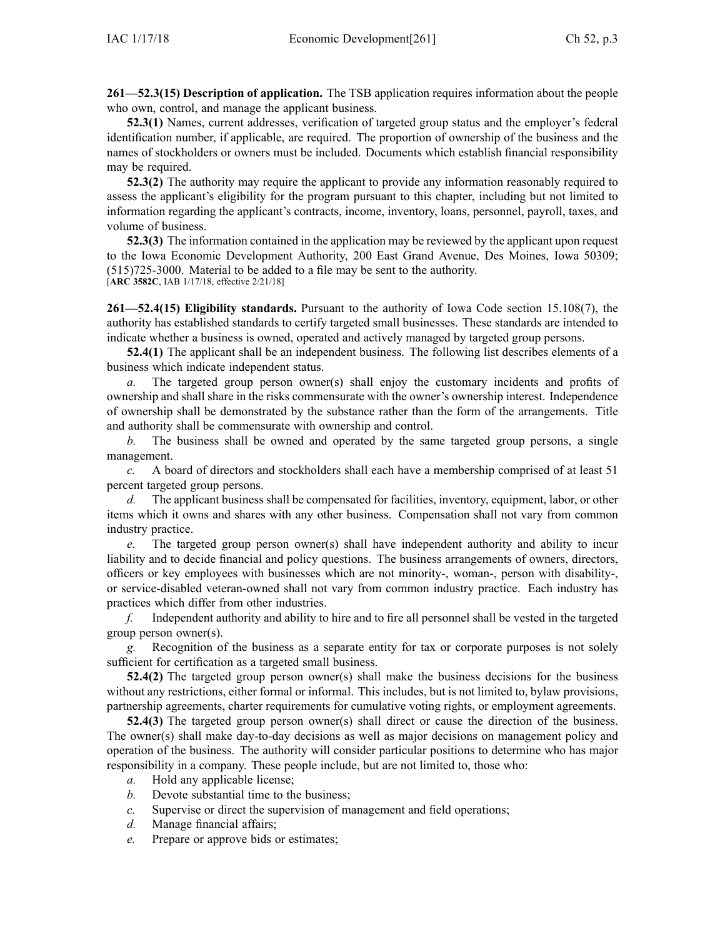**261—52.3(15) Description of application.** The TSB application requires information about the people who own, control, and manage the applicant business.

**52.3(1)** Names, current addresses, verification of targeted group status and the employer's federal identification number, if applicable, are required. The proportion of ownership of the business and the names of stockholders or owners must be included. Documents which establish financial responsibility may be required.

**52.3(2)** The authority may require the applicant to provide any information reasonably required to assess the applicant's eligibility for the program pursuan<sup>t</sup> to this chapter, including but not limited to information regarding the applicant's contracts, income, inventory, loans, personnel, payroll, taxes, and volume of business.

**52.3(3)** The information contained in the application may be reviewed by the applicant upon reques<sup>t</sup> to the Iowa Economic Development Authority, 200 East Grand Avenue, Des Moines, Iowa 50309; (515)725-3000. Material to be added to <sup>a</sup> file may be sent to the authority. [**ARC [3582C](https://www.legis.iowa.gov/docs/aco/arc/3582C.pdf)**, IAB 1/17/18, effective 2/21/18]

**261—52.4(15) Eligibility standards.** Pursuant to the authority of Iowa Code section [15.108\(7\)](https://www.legis.iowa.gov/docs/ico/section/2017/15.108.pdf), the authority has established standards to certify targeted small businesses. These standards are intended to indicate whether <sup>a</sup> business is owned, operated and actively managed by targeted group persons.

**52.4(1)** The applicant shall be an independent business. The following list describes elements of <sup>a</sup> business which indicate independent status.

*a.* The targeted group person owner(s) shall enjoy the customary incidents and profits of ownership and shall share in the risks commensurate with the owner's ownership interest. Independence of ownership shall be demonstrated by the substance rather than the form of the arrangements. Title and authority shall be commensurate with ownership and control.

*b.* The business shall be owned and operated by the same targeted group persons, <sup>a</sup> single management.

*c.* A board of directors and stockholders shall each have <sup>a</sup> membership comprised of at least 51 percen<sup>t</sup> targeted group persons.

*d.* The applicant business shall be compensated for facilities, inventory, equipment, labor, or other items which it owns and shares with any other business. Compensation shall not vary from common industry practice.

*e.* The targeted group person owner(s) shall have independent authority and ability to incur liability and to decide financial and policy questions. The business arrangements of owners, directors, officers or key employees with businesses which are not minority-, woman-, person with disability-, or service-disabled veteran-owned shall not vary from common industry practice. Each industry has practices which differ from other industries.

*f.* Independent authority and ability to hire and to fire all personnel shall be vested in the targeted group person owner(s).

*g.* Recognition of the business as <sup>a</sup> separate entity for tax or corporate purposes is not solely sufficient for certification as <sup>a</sup> targeted small business.

**52.4(2)** The targeted group person owner(s) shall make the business decisions for the business without any restrictions, either formal or informal. This includes, but is not limited to, bylaw provisions, partnership agreements, charter requirements for cumulative voting rights, or employment agreements.

**52.4(3)** The targeted group person owner(s) shall direct or cause the direction of the business. The owner(s) shall make day-to-day decisions as well as major decisions on managemen<sup>t</sup> policy and operation of the business. The authority will consider particular positions to determine who has major responsibility in <sup>a</sup> company. These people include, but are not limited to, those who:

- *a.* Hold any applicable license;
- *b.* Devote substantial time to the business;
- *c.* Supervise or direct the supervision of managemen<sup>t</sup> and field operations;
- *d.* Manage financial affairs;
- *e.* Prepare or approve bids or estimates;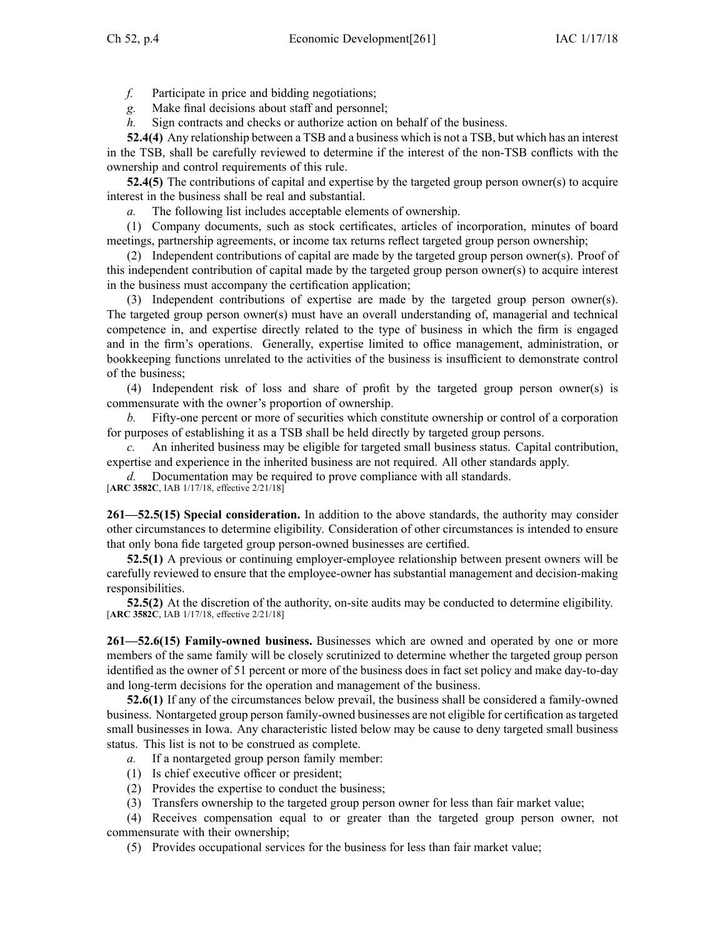*f.* Participate in price and bidding negotiations;

*g.* Make final decisions about staff and personnel;

*h.* Sign contracts and checks or authorize action on behalf of the business.

**52.4(4)** Any relationship between <sup>a</sup> TSB and <sup>a</sup> business which is not <sup>a</sup> TSB, but which has an interest in the TSB, shall be carefully reviewed to determine if the interest of the non-TSB conflicts with the ownership and control requirements of this rule.

**52.4(5)** The contributions of capital and expertise by the targeted group person owner(s) to acquire interest in the business shall be real and substantial.

*a.* The following list includes acceptable elements of ownership.

(1) Company documents, such as stock certificates, articles of incorporation, minutes of board meetings, partnership agreements, or income tax returns reflect targeted group person ownership;

(2) Independent contributions of capital are made by the targeted group person owner(s). Proof of this independent contribution of capital made by the targeted group person owner(s) to acquire interest in the business must accompany the certification application;

(3) Independent contributions of expertise are made by the targeted group person owner(s). The targeted group person owner(s) must have an overall understanding of, managerial and technical competence in, and expertise directly related to the type of business in which the firm is engaged and in the firm's operations. Generally, expertise limited to office management, administration, or bookkeeping functions unrelated to the activities of the business is insufficient to demonstrate control of the business;

(4) Independent risk of loss and share of profit by the targeted group person owner(s) is commensurate with the owner's proportion of ownership.

Fifty-one percent or more of securities which constitute ownership or control of a corporation for purposes of establishing it as <sup>a</sup> TSB shall be held directly by targeted group persons.

*c.* An inherited business may be eligible for targeted small business status. Capital contribution, expertise and experience in the inherited business are not required. All other standards apply.

*d.* Documentation may be required to prove compliance with all standards.

[**ARC [3582C](https://www.legis.iowa.gov/docs/aco/arc/3582C.pdf)**, IAB 1/17/18, effective 2/21/18]

**261—52.5(15) Special consideration.** In addition to the above standards, the authority may consider other circumstances to determine eligibility. Consideration of other circumstances is intended to ensure that only bona fide targeted group person-owned businesses are certified.

**52.5(1)** A previous or continuing employer-employee relationship between presen<sup>t</sup> owners will be carefully reviewed to ensure that the employee-owner has substantial managemen<sup>t</sup> and decision-making responsibilities.

**52.5(2)** At the discretion of the authority, on-site audits may be conducted to determine eligibility. [**ARC [3582C](https://www.legis.iowa.gov/docs/aco/arc/3582C.pdf)**, IAB 1/17/18, effective 2/21/18]

**261—52.6(15) Family-owned business.** Businesses which are owned and operated by one or more members of the same family will be closely scrutinized to determine whether the targeted group person identified as the owner of 51 percen<sup>t</sup> or more of the business does in fact set policy and make day-to-day and long-term decisions for the operation and managemen<sup>t</sup> of the business.

**52.6(1)** If any of the circumstances below prevail, the business shall be considered <sup>a</sup> family-owned business. Nontargeted group person family-owned businesses are not eligible for certification astargeted small businesses in Iowa. Any characteristic listed below may be cause to deny targeted small business status. This list is not to be construed as complete.

- *a.* If <sup>a</sup> nontargeted group person family member:
- (1) Is chief executive officer or president;
- (2) Provides the expertise to conduct the business;
- (3) Transfers ownership to the targeted group person owner for less than fair market value;

(4) Receives compensation equal to or greater than the targeted group person owner, not commensurate with their ownership;

(5) Provides occupational services for the business for less than fair market value;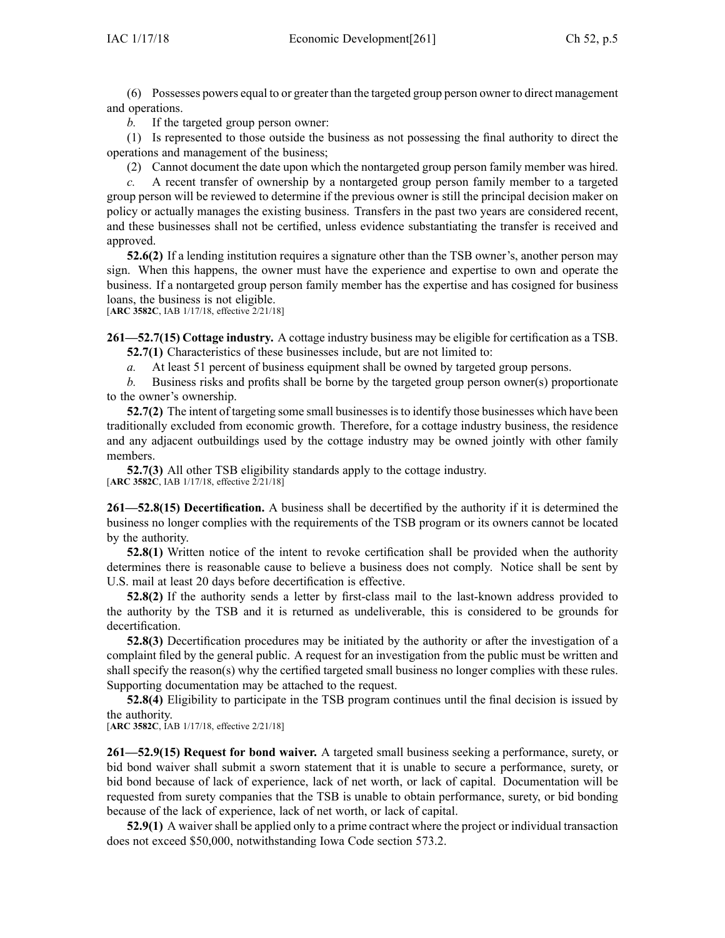(6) Possesses powers equal to or greater than the targeted group person owner to direct managemen<sup>t</sup> and operations.

*b.* If the targeted group person owner:

(1) Is represented to those outside the business as not possessing the final authority to direct the operations and managemen<sup>t</sup> of the business;

(2) Cannot document the date upon which the nontargeted group person family member was hired.

*c.* A recent transfer of ownership by <sup>a</sup> nontargeted group person family member to <sup>a</sup> targeted group person will be reviewed to determine if the previous owner is still the principal decision maker on policy or actually manages the existing business. Transfers in the pas<sup>t</sup> two years are considered recent, and these businesses shall not be certified, unless evidence substantiating the transfer is received and approved.

**52.6(2)** If <sup>a</sup> lending institution requires <sup>a</sup> signature other than the TSB owner's, another person may sign. When this happens, the owner must have the experience and expertise to own and operate the business. If <sup>a</sup> nontargeted group person family member has the expertise and has cosigned for business loans, the business is not eligible.

[**ARC [3582C](https://www.legis.iowa.gov/docs/aco/arc/3582C.pdf)**, IAB 1/17/18, effective 2/21/18]

**261—52.7(15) Cottage industry.** A cottage industry business may be eligible for certification as <sup>a</sup> TSB. **52.7(1)** Characteristics of these businesses include, but are not limited to:

*a.* At least 51 percen<sup>t</sup> of business equipment shall be owned by targeted group persons.

*b.* Business risks and profits shall be borne by the targeted group person owner(s) proportionate to the owner's ownership.

**52.7(2)** The intent of targeting some small businesses is to identify those businesses which have been traditionally excluded from economic growth. Therefore, for <sup>a</sup> cottage industry business, the residence and any adjacent outbuildings used by the cottage industry may be owned jointly with other family members.

**52.7(3)** All other TSB eligibility standards apply to the cottage industry.

[**ARC [3582C](https://www.legis.iowa.gov/docs/aco/arc/3582C.pdf)**, IAB 1/17/18, effective 2/21/18]

**261—52.8(15) Decertification.** A business shall be decertified by the authority if it is determined the business no longer complies with the requirements of the TSB program or its owners cannot be located by the authority.

**52.8(1)** Written notice of the intent to revoke certification shall be provided when the authority determines there is reasonable cause to believe <sup>a</sup> business does not comply. Notice shall be sent by U.S. mail at least 20 days before decertification is effective.

**52.8(2)** If the authority sends <sup>a</sup> letter by first-class mail to the last-known address provided to the authority by the TSB and it is returned as undeliverable, this is considered to be grounds for decertification.

**52.8(3)** Decertification procedures may be initiated by the authority or after the investigation of <sup>a</sup> complaint filed by the general public. A reques<sup>t</sup> for an investigation from the public must be written and shall specify the reason(s) why the certified targeted small business no longer complies with these rules. Supporting documentation may be attached to the request.

**52.8(4)** Eligibility to participate in the TSB program continues until the final decision is issued by the authority.

[**ARC [3582C](https://www.legis.iowa.gov/docs/aco/arc/3582C.pdf)**, IAB 1/17/18, effective 2/21/18]

**261—52.9(15) Request for bond waiver.** A targeted small business seeking <sup>a</sup> performance, surety, or bid bond waiver shall submit <sup>a</sup> sworn statement that it is unable to secure <sup>a</sup> performance, surety, or bid bond because of lack of experience, lack of net worth, or lack of capital. Documentation will be requested from surety companies that the TSB is unable to obtain performance, surety, or bid bonding because of the lack of experience, lack of net worth, or lack of capital.

**52.9(1)** A waiver shall be applied only to <sup>a</sup> prime contract where the project or individual transaction does not exceed \$50,000, notwithstanding Iowa Code section [573.2](https://www.legis.iowa.gov/docs/ico/section/2017/573.2.pdf).